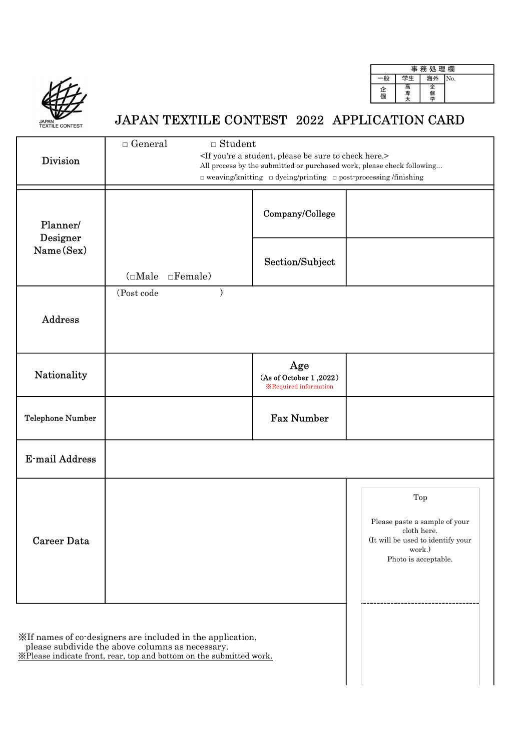

|        | 事  | 務 処 理 欄 |     |
|--------|----|---------|-----|
|        | 学生 | 海外      | No. |
| 企<br>個 | 司  | 企<br>個学 |     |

## JAPAN TEXTILE CONTEST 2022 APPLICATION CARD

| <b>Division</b>         | $\Box$ General<br>$\Box$ Student                                                                                                                                                      | <if a="" be="" check="" here.="" please="" student,="" sure="" to="" you're=""><br/><math>\Box</math> weaving/knitting <math>\Box</math> dyeing/printing <math>\Box</math> post-processing /finishing</if> | All process by the submitted or purchased work, please check following                                                     |
|-------------------------|---------------------------------------------------------------------------------------------------------------------------------------------------------------------------------------|------------------------------------------------------------------------------------------------------------------------------------------------------------------------------------------------------------|----------------------------------------------------------------------------------------------------------------------------|
| Planner/                |                                                                                                                                                                                       | Company/College                                                                                                                                                                                            |                                                                                                                            |
| Designer<br>Name(Sex)   | $(\Box \text{Male})$<br>$\Box$ Female)                                                                                                                                                | Section/Subject                                                                                                                                                                                            |                                                                                                                            |
| Address                 | (Post code<br>$\lambda$                                                                                                                                                               |                                                                                                                                                                                                            |                                                                                                                            |
| Nationality             |                                                                                                                                                                                       | Age<br>(As of October 1,2022)<br><b>X</b> Required information                                                                                                                                             |                                                                                                                            |
| <b>Telephone Number</b> |                                                                                                                                                                                       | <b>Fax Number</b>                                                                                                                                                                                          |                                                                                                                            |
| <b>E-mail Address</b>   |                                                                                                                                                                                       |                                                                                                                                                                                                            |                                                                                                                            |
| <b>Career Data</b>      |                                                                                                                                                                                       |                                                                                                                                                                                                            | Top<br>Please paste a sample of your<br>cloth here.<br>(It will be used to identify your<br>work.)<br>Photo is acceptable. |
|                         | XIf names of co-designers are included in the application,<br>please subdivide the above columns as necessary.<br>XPlease indicate front, rear, top and bottom on the submitted work. |                                                                                                                                                                                                            |                                                                                                                            |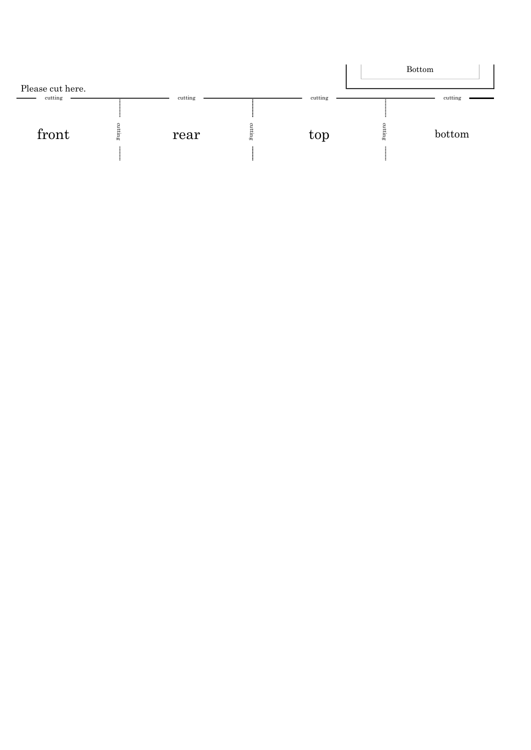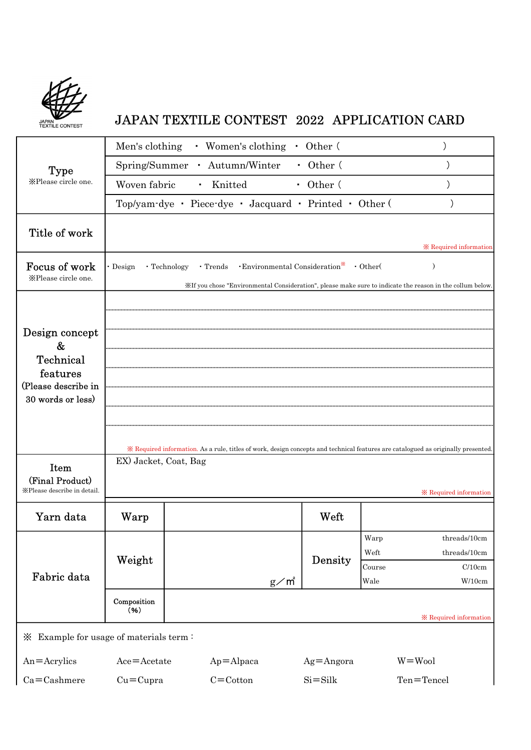

## JAPAN TEXTILE CONTEST 2022 APPLICATION CARD

|                                                                                          | Men's clothing        | • Women's clothing                                     | $\sim$         | Other (                                                         |                        |                                                                                                                                                                    |
|------------------------------------------------------------------------------------------|-----------------------|--------------------------------------------------------|----------------|-----------------------------------------------------------------|------------------------|--------------------------------------------------------------------------------------------------------------------------------------------------------------------|
| <b>Type</b>                                                                              | Spring/Summer         | Autumn/Winter<br>$\mathbf{r}$ .                        |                | • Other (                                                       |                        |                                                                                                                                                                    |
| XPlease circle one.                                                                      | Woven fabric          | Knitted<br>$\blacksquare$                              |                | • Other $($                                                     |                        |                                                                                                                                                                    |
|                                                                                          |                       | Top/yam-dye · Piece-dye · Jacquard · Printed · Other ( |                |                                                                 |                        |                                                                                                                                                                    |
| Title of work                                                                            |                       |                                                        |                |                                                                 |                        | <b>X</b> Required information                                                                                                                                      |
| Focus of work<br>XPlease circle one.                                                     | • Design              | • Trends<br>• Technology                               |                | $\cdot$ Environmental Consideration <sup>*</sup> $\cdot$ Other( |                        | $\lambda$<br>XIf you chose "Environmental Consideration", please make sure to indicate the reason in the collum below.                                             |
| Design concept<br>&<br>Technical<br>features<br>(Please describe in<br>30 words or less) |                       |                                                        |                |                                                                 |                        |                                                                                                                                                                    |
| Item<br>(Final Product)<br>XPlease describe in detail.                                   | EX) Jacket, Coat, Bag |                                                        |                |                                                                 |                        | * Required information. As a rule, titles of work, design concepts and technical features are catalogued as originally presented.<br><b>X</b> Required information |
|                                                                                          |                       |                                                        |                |                                                                 |                        |                                                                                                                                                                    |
| Yarn data                                                                                | Warp                  |                                                        |                | Weft                                                            |                        |                                                                                                                                                                    |
| Fabric data                                                                              | Weight                |                                                        |                | Density                                                         | Warp<br>Weft<br>Course | threads/10cm<br>threads/10cm<br>C/10cm                                                                                                                             |
|                                                                                          | Composition<br>(96)   |                                                        | $g\diagup m^2$ |                                                                 | Wale                   | W/10cm                                                                                                                                                             |
|                                                                                          |                       |                                                        |                |                                                                 |                        | <b>X</b> Required information                                                                                                                                      |
| $\mathbb X$ Example for usage of materials term:                                         |                       |                                                        |                |                                                                 |                        |                                                                                                                                                                    |
| $An =$ Acrylics                                                                          | $Ace = Acetate$       | $Ap = Alpaca$                                          |                | $Ag = Angora$                                                   |                        | $W = Woo1$                                                                                                                                                         |
| $Ca = Cashmere$                                                                          | $Cu=Cupra$            | $C = \text{Cottom}$                                    |                | $Si = Silk$                                                     |                        | Ten=Tencel                                                                                                                                                         |